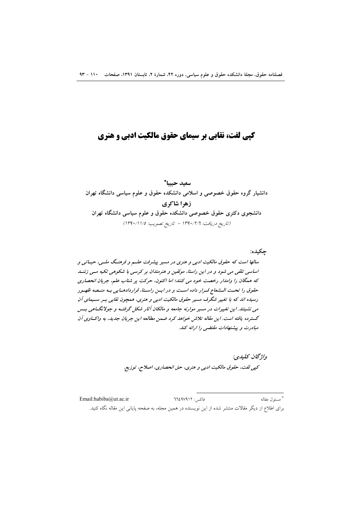# کیی لفت، نقابی بر سیمای حقوق مالکیت ادبی و هنری

سعيد حسا\* دانشیار گروه حقوق خصوصی و اسلامی دانشکده حقوق و علوم سیاسی دانشگاه تهران زهرا شاكري دانشجوی دکتری حقوق خصوصی دانشکده حقوق و علوم سیاسی دانشگاه تهران (تاريخ دريافت: ١٣٩٠/٢/٦ - تاريخ تصويب: ١٣٩٠/١١/٥)

جكبده:

سالها است که حقوق مالکیت ادبی و هنری در مسیر پیشرفت علسم و فرهنگ ملسی، حیباتی و اساسی تلقی می شود و در این راستا، مولفین و هنرمندان بر کرسی با شکوهی تکیه مسی زننسا که همگان را وامدار رخصت خود می کنند؛ اما اکنون، حرکت پر شتاب علم، جریان انحصاری حقوق را تحت الـشعاع قـرار داده اسـت و در ايـن راسـتا، قراردادهـايي بـه منـصه ظهـور رسیده اند که با تغییر شگرف مسیر حقوق مالکیت ادبی و هنری، همچون نقابی بسر سلیمای آن می نشینند. این تغییرات در مسیر موارنه جامعه و مالکان آثار شکل گرفتیه و جولانگسامی بسس گسترده یافته است. این مقاله تلاش خواهد کرد ضمن مطالعه این جریان جدید، به واکساوی آن مبادرت و پیشنهادات مقتضی را ارائه کند.

> واژىخان كىلىدى: كپي لفت، حقوق مالكيت ادبي و هنري، حق انحصاري، اصلاح، توزيع.

\* مسئول مقاله Email:habiba@ut.ac.ir فاكس: ٦٦٤٩٧٩١٢ برای اطلاع از دیگر مقالات منتشر شده از این نویسنده در همین مجله، به صفحه پایانی این مقاله نگاه کنید.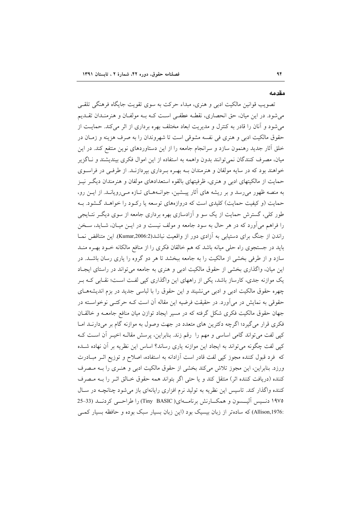#### مقدمه

تصويب قوانين مالكيت ادبي و هنري، مبداء حركت به سوى تقويت جايگاه فرهنگي تلقبي می شود. در این میان، حق انحصاری، نقطـه عطفـی اسـت کـه بـه مولفـان و هنرمنـدان تقـدیم می شود و آنان را قادر به کنترل و مدیریت ابعاد مختلف بهره برداری از اثر میکند. حمایت از حقوق مالکیت ادبی و هنری فی نفسه مشوقی است تا شهروندان را به صرف هزینه و زمـان در خلق أثار جدید رهنمون سازد و سرانجام جامعه را از این دستاوردهای نوین منتفع کند. در این میان، مصرف کنندگان نمی توانند بدون واهمه به استفاده از این اموال فکری بیندیشند و نـاگزیر خواهند بود که در سایه مولفان و هنرمندان بـه بهـره بـرداری بیردازنـد. از طرفـی در فراسـوی حمایت از مالکیتهای ادبی و هنری، ظرفیتهای بالقوه استعدادهای مولفان و هنرمندان دیگـر نیـز به منصه ظهور میرسد و بر ریشه های آثار پیـشین، جوانـههـای تـازه مـیرویانـد. از ایـن رو، حمایت (و کیفیت حمایت) کلیدی است که دروازههای توسعه یا رکـود را خواهـد گـشود. بـه طور کلی، گسترش حمایت از یک سو و آزادسازی بهره برداری جامعه از سوی دیگـر نتـایجی را فراهم می آورد که در هر حال به سود جامعه و مولف نیست و در ایــن میـان، شــاید، ســخن راندن از جنگ برای دستیابی به آزادی دور از واقعیت نباشد(Kumar,2006:2). این متناقض نمـا باید در جستجوی راه حلی میانه باشد که هم خالقان فکری را از منافع مالکانه خــود بهــره منــد سازد و از طرفی بخشی از مالکیت را به جامعه ببخشد تا هر دو گروه را یاری رسان باشـد. در این میان، واگذاری بخشی از حقوق مالکیت ادبی و هنری به جامعه می تواند در راستای ایجـاد یک موازنه جدی، کارساز باشد، یکی از راههای این واگذاری کیی لفت است؛ نقـابی کـه بـر چهره حقوق مالکیت ادبی و ادبی می نشیند و این حقوق را با لباسی جدید در بزم اندیشههـای حقوقی به نمایش در میآورد. در حقیقت فرضیه این مقاله آن است کـه حرکتـبی نوخواسـته در جهان حقوق مالکیت فکری شکل گرفته که در مسیر ایجاد توازن میان منافع جامعـه و خالقـان فکری قرار می گیرد؛ اگرچه دکترین های متعدد در جهت وصول به موازنه گام بر می دارنـد امـا كيي لفت مي تواند گامي اساسي و مهم را رقم زند. بنابراين، پرسش مقالــه اخيــر أن اســت كــه کپی لفت چگونه میتواند به ایجاد این موازنه یاری رساند؟ اساس این نظریه بر آن نهاده شــده که ً فرد قبول کننده مجوز کپی لفت قادر است آزادانه به استفاده، اصلاح و توزیع اثـر مبـادرت ورزد. بنابراین، این مجوز تلاش میکند بخشی از حقوق مالکیت ادبی و هنـری را بــه مـصرف كننده (دريافت كننده اثر) منتقل كند و يا حتى اگر بتواند همه حقوق خـالق اثـر را بــه مـصرف کننده واگذار کند. تاسیس این نظریه به تولید نرم افزاری رایانهای باز می شود چنانچـه در سـال ۱۹۷۵ دنسیس آلیسسون و همکسارنش برنامسهای( Tiny BASIC) را طراحسی کردنسد (33–25 :Allison,1976) که سادهتر از زبان بیسیک بود (این زبان بسیار سبک بوده و حافظه بسیار کمبی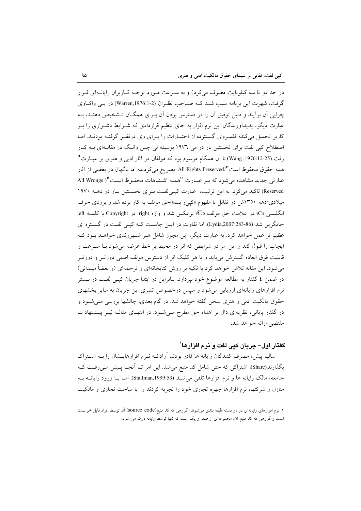در حد دو تا سه کیلوبایت مصرف میکرد) و به سـرعت مـورد توجـه کـاربران رایانـهای قـرار گرفت، شهرت این برنامه سبب شد کـه صـاحب نظـران (Warren,1976:1-2) در یـی واکـاوی چرایی آن برآیند و دلیل توفیق آن را در دسترس بودن آن بـرای همگــان تــشخیص دهنــد، بــه عبارت دیگر، پدیدآورندگان این نرم افزار به جای تنظیم قراردادی که شــرایط دشــواری را بــر کاربر تحمیل میکند؛ قلمـروی گـسترده از اختیـارات را بـرای وی درنظـر گرفتـه بودنـد. امـا اصطلاح کپی لفت برای نخستین بار در می ۱۹۷۲ بوسیله لی چـن وانـگ در مقالـهای بـه کـار رفت.(25-12-1976, Wang) تا آن همگام مرسوم بود که مولفان در آثار ادبی و هنری بر عبـارت" همه حقوق محفوظ است"/All Rights Preserved تصريح مي كردند؛ اما ناگهان در بعضي از آثار عبارتي جديد مشاهده مي شود كه بـر عبـارت "همـه اشـتباهات محفـوظ اسـت"( All Wrongs Reserved) تاکید می کرد. به این ترتیب، عبارت کیبی لفت برای نخستین بار در دهـه ١٩٧٠ میلادی/دهه ۱۳۵۰ش در تقابل با مفهوم «کیم رایت»/حق مولف به کار برده شد و بزودی حرف انگلیسی «C» در علامت حق مولف «©» برعکس شد و واژه right در Copyright با کلمـه left جایگرین شد (Lydia,2007:283-86). اما تفاوت در ایـن جاسـت کــه کیــی لفـت در گــستره ای عظیم تر عمل خواهد کرد. به عبارت دیگر، این مجوز شامل هـر شـهروندی خواهـد بـود کـه ایجاب را قبول کند و این امر در شرایطی که اثر در محیط بر خط عرضه می شود بـا سـرعت و قابلیت فوق العاده گسترش میباید و با هر کلیک اثر از دسترس مولف اصلی دورتـر و دورتـر می شود. این مقاله تلاش خواهد کرد با تکیه بر روش کتابخانهای و ترجمهای (و بعضاً میـدانی) در ضمن ٤ گفتار به مطالعه موضوع خود بپردازد. بنابراین در ابتدا جریان کیـی لفـت در بـستر نرم افزارهای رایانهای ارزیابی می شود و سپس درخصوص تسری این جریان به سایر بخشهای حقوق مالکیت ادبی و هنری سخن گفته خواهد شد. در گام بعدی، چالشها بررسی مـیشـود و در گفتار پایانی، نظریهای دال بر اهداء حق مطرح مـیشـود. در انتهـای مقالـه نیـز پیـشنهادات مقتضب ارائه خواهد شد.

## گفتار اول– جرمان کیے لغت و نرم افزارها`

سالها پیش، مصرف کنندگان رایانه ها قادر بودند آزادانـه نـرم افزارهایــشان را بــه اشــتراک بگذارند(Share)؛ اشتراکی که حتی شامل کد منبع میشد. این امر تـا آنجـا پـیش مـی(فـت کـه جامعه، مالک رایانه ها و نرم افزارها تلقی می شد (Stallman,1999:53). امـا بـا ورود رایانـه بـه منازل و شرکتها، نرم افزارها چهره تجاری خود را تجربه کردند و با مباحث تجاری و مالکیت

۱. نرم افزارهای رایانهای در دو دسته طبقه بندی می شوند؛ گروهی که کد منبع(source code) آن توسط افراد قابل خوانـدن است و گروهی که کد منبع آن، مجموعهای از صفر و یک است که تنها توسط رایانه درک می شود..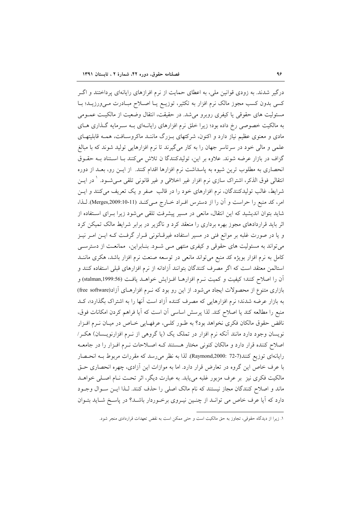درگیر شدند. به زودی قوانین ملی، به اعطای حمایت از نرم افرازهای رایانهای پرداختند و اگـر کسی بدون کسب مجوز مالک نرم افزار به تکثیر، توزیـع یـا اصـلاح مبـادرت مـیورزیـد؛ بـا مسئولیت های حقوقی یا کیفری روبرو می شد. در حقیقت، انتقال وضعیت از مالکیـت عمـومی به مالکیت خصوصی رخ داده بود؛ زیرا خلق نرم افزارهای رایانـهای بـه سـرمایه گــذاری هــای مادی و معنوی عظیم نیاز دارد و اکنون، شرکتهای بـزرگ ماننـد ماکروسـافت، همـه قابلیتهـای علمی و مالی خود در سرتاسر جهان را به کار میگیرند تا نرم افزارهایی تولید شوند که با مبالغ گزاف در بازار عرضه شوند. علاوه بر این، تولیدکنندگا ن تلاش میکنند بـا اسـتناد بـه حقـوق انحصاری به مطلوب ترین شیوه به پاسداشت نرم افزارها اقدام کنند. از ایــن رو، بعــد از دوره انتقالی فوق الذکر، اشتراک سازی نرم افزار غیر اخلاقی و غیر قانونی تلقی مــیشــود. <sup>۱</sup> در ایــن شرايط، غالب توليدكنندگان، نرم افزارهاي خود را در قالب صفر و يک تعريف ميکنند و ايـن امر، كد منبع را حراست و آن را از دسترس افـراد خــارج مــى كنــد (Merges,2009:10-11). لـذا، شاید بتوان اندیشید که این انتقال، مانعی در مسیر پیشرفت تلقی میشود زیرا بـرای اسـتفاده از اثر باید قراردادهای مجوز بهره برداری را منعقد کرد و ناگزیر در برابر شرایط مالک تمیکن کرد و یا در صورت غلبه بر موانع فنی در مسیر استفاده غیرقـانونی قـرار گرفـت کـه ایــن امــر نیــز میتواند به مسئولیت های حقوقی و کیفری منتهی مـی شـود. بنـابراین، ممانعـت از دسترسـی کامل به نرم افزار بویژه کد منبع میتواند مانعی در توسعه صنعت نرم افزار باشد، هکری ماننــد استالمن معتقد است كه اگر مصرف كنندگان بتوانند آزادانه از نرم افزارهاى قبلى استفاده كنند و أن را اصلاح كنند؛ كيفيت و كميت نــرم افزارهــا افــزايش خواهــد يافــت (stalman,1999:56) و بازاری متنوع از محصولات ایجاد می شود. از این رو بود که نـرم افزارهـای آزاد(free software) به بازار عرضه شدند؛ نرم افزارهایی که مصرف کننده آزاد است آنها را به اشتراک بگذارد؛، کـد منبع را مطالعه كند يا اصلاح كند. لذا يرسش اساسي أن است كه أيا فراهم كردن امكانات فوق، ناقض حقوق مالکان فکری نخواهد بود؟ به طـور کلـی، عرفهـایی خـاص در میـان نـرم افـزار نویسان وجود دارد مانند آنکه نرم افزار در تملک یک (یا گروهی از نـرم افزارنویـسان) هکـر/ اصلاح کننده قرار دارد و مالکان کنونی مختار هستند کـه اصـلاحات نـرم افـزار را در جامعـه رايانهاي توزيع كنند(7-72 :Raymond,2000). لذا به نظر مي رسد كه مقررات مربوط بـه انحـصار با عرف خاص این گروه در تعارض قرار دارد. اما به موازات این آزادی، چهره انحصاری حـق مالکیت فکری نیز بر عرف مزبور غلبه می یابد. به عبارت دیگر، اثر تحت نـام اصـلی خواهــد ماند و اصلاح کنندگان مجاز نیستند که نام مالک اصلی را حذف کنند. لـذا ایــن ســوال وجــود دارد که آیا عرف خاص می توانـد از چنـین نیـروی برخـوردار باشـد؟ در پاسـخ شـاید بتـوان

١. زيرا از ديدگاه حقوقي، تجاوز به حق مالکيت است و حتى ممکن است به نقض تعهدات قراردادى منجر شود.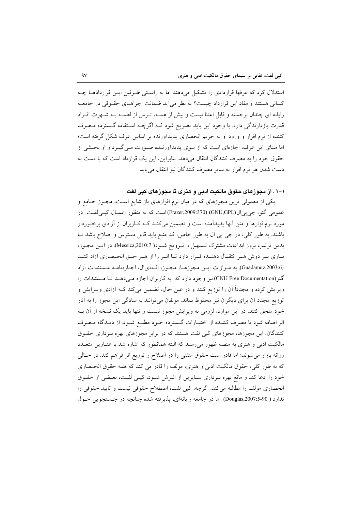استدلال کرد که عرفها قراردادی را تشکیل میدهند اما به راستی طرفین ایـن قراردادهـا چـه کسانی هستند و مفاد این قرارداد چیست؟ به نظر می آید ضمانت اجراهـای حقـوقی در جامعـه رایانه ای چندان برجسته و قابل اعتنا نیست و بیش از همـه، تـرس از لطمـه بـه شـهرت افـراد قدرت بازدارندگی دارد. با وجود این باید تصریح شود کـه اگرچــه اسـتفاده گـسترده مـصرف کننده از نرم افزار و ورود او به حریم انحصاری پدیدآورنده بر اساس عرف شکل گرفته است؛ اما مبنای این عرف، اجازهای است که از سوی پدیدآورنـده صـورت مـی&یـرد و او بخـشی از حقوق خود را به مصرف كنندگان انتقال مى دهد. بنابراين، اين يک قرارداد است که با دست به دست شدن هر نرم افزار به سایر مصرف کنندگان نیز انتقال می یابد.

۱–۱ . از مجوزهای حقوق مالکنت ادبی و هنری تا مجوزهای کیی لفت

یکی از معمولی ترین مجوزهای که در میان نرم افزارهای باز شایع اسـت، مجـوز جــامع و عمومي گنو، جي پي|ل(GNU,GPL) (370-Frazer,2009) است كه به منظور اعمـال كيـي لفـت در مورد نرمافزارها و متن آنها پدیدآمده است و تضمین میکنـد کـه کـاربران از آزادی برخـوردار باشند. به طور کلی، در جی پی ال به طور خاص، کد منبع باید قابل دسترس و اصلاح باشد تا بدین ترتیب بروز ابداعات مشترک تـسهیل و تـرویج شـود( Messica,2010:7). در ایـن مجـوز، بیاری بیر دوش هیر انتقبال دهنیده قیرار دارد تبا اثیر را از هیر حیق انجیصاری آزاد کنید (Guadamuz,2003:6). به موازات اين مجوزها، مجـوز، افدىال، اجـازمنامـه مـستندات آزاد گنو (GNU Free Documentation)نیز وجود دارد که به کاربران اجازه می دهـد تـا مـستندات را ویرایش کرده و مجدداً آن را توزیع کنند و در عین حال، تضمین میکند کـه آزادی ویــرایش و توزیع مجدد آن برای دیگران نیز محفوظ بماند. مولفان میتوانند به سادگی این مجوز را به آثار خود ملحق کنند. در این موارد، لزومی به ویرایش مجوز نیست و تنها باید یک نسخه از آن بـه اثر اضافه شود تا مصرف کننـده از اختيـارات گـسترده خـود مطلـع شـود. از ديـدگاه مـصرف کنندگان، این مجوزها، مجوزهای کپی لفت هستند که در برابر مجوزهای بهره بـرداری حقـوق مالکیت ادبی و هنری به منصه ظهور میرسند که البته همانطور که اشاره شد با عنـاوین متعــدد روانه بازار می شوند؛ اما قادر است حقوق متقنی را در اصلاح و توزیع اثر فراهم کند. در حـالی که به طور کلی، حقوق مالکیت ادبی و هنری، مولف را قادر می کند که همه حقوق انحـصاری خود را ادعا کند و مانع بهره بـرداری سـایرین از اثـرش شـود، کپـی لفـت، بعـضی از حقـوق انحصاري مولف را مطالبه مي كند. اگرچه، كيي لفت، اصطلاح حقوقي نيست و تاييد حقوقي را ندارد ( Douglas,2007:5-90). اما در جامعه رایانهای، پذیرفته شده چنانچه در جستجویی حـول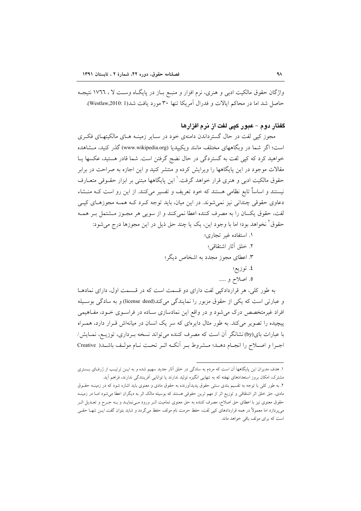واژگان حقوق مالکیت ادبی و هنری، نرم افزار و منبع بـاز در پایگـاه وسـت لا ، ١٧٦٦ نتیجـه حاصل شد اما در محاكم ايالات و فدرال آمريكا تنها ٣٠ مورد يافت شد(Westlaw,2010: 1).

# گفتار دوم – عبور کیی لفت از نرم افزارها

مجوز کیی لفت در حال گسترداندن دامنهی خود در سـایر زمینــه هــای مالکیتهــای فکــری است؛ اگر شما در وبگاههای مختلف مانند ویکیپدیا (www.wikipedia.org) گذر کنید، مـشاهده خواهید کرد که کیی لفت به گستردگی در حال نضج گرفتن است. شما قادر هستید، عکسها پـا مقالات موجود در این پایگاهها را ویرایش کرده و منتشر کنید و این اجازه به صراحت در برابر حقوق مالکیت ادبی و هنری قرار خواهد گرفت.<sup>۱</sup> این پایگاهها مبتنی بر ابزار حقــوقی متعــارف نیستند و اساساً تابع نظامی هستند که خود تعریف و تفسیر میکنند. از این رو است کــه منــشاء دعاوي حقوقي چنداني نيز نمي شوند. در اين ميان، بايد توجه كـرد كــه همــه مجوزهـاي كيــي لفت، حقوق یکسان را به مصرف کننده اعطا نمیکنند و از سویی هر مجـوز مــشتمل بـر همــه حقوق ٌ نخواهد بود؛ اما با وجود اين، يک يا چند حق ذيل در اين مجوزها درج مي شود:

- ١. استفاده غير تجاري؛
- ٢. خلق آثار اشتقاقي؛
- ۳. اعطای مجوز مجدد به اشخاص دیگر؛
	- ٤. توزيع؛
	- ٥. اصلاح و …..

به طور کلی، هر قراردادکیی لفت دارای دو قسمت است که در قسمت اول، دارای نمادهـا و عبارتی است که یکی از حقوق مزبور را نمایندگی میکند(license deed) و به سادگی بوسیله افراد غیرمتخصص درک می شود و در واقع این نمادسازی سـاده در فراسـوی خـود، مفـاهیمی پیچیده را تصویر میکند. به طور مثال دایرمای که سر یک انسان در میانهاش قـرار دارد، همـراه با عبارات بای(by)نشانگر آن است که مصرف کننده میتواند نسخه بـرداری، توزیــع، نمـایش/ اجبرا و اصبلاح را انجبام دهبد؛ متشروط ببر أنكبه اثبر تحت نبام موليف باشبد( Creative

١. هدف مديران اين پايگاهها اَن است كه مردم به سادگي در خلق اَثار جديد سهيم شده و به ايــن ترتيـب از ژرفـاي بــستري مشترک، امکان بروز استعدادهای نهفته که به تنهایی انگیزه تولید ندارند یا توانایی آفرینندگی ندارند، فراهم آید. ۲. به طور کلی با توجه به تقسیم بندی سنتی حقوق پدیدآورنده به حقوق مادی و معنوی باید اشاره شود که در زمینــه حقــوق مادی، حق خلق اثر اشتقاقی و توزیع اثر از مهم ترین حقوقی هستند که بوسیله مالک اثر به دیگران اعطا می شود امـا در زمینــه حقوق معنوی نیز با اعطای حق اصلاح، مصرف کننده به حق معنوی تمامیت اثـر ورود مـی نمایـد و بــه جـرح و تعــدیل اثـر میپردازد اما معمولاً در همه قراردادهای کپی لفت، حفظ حرمت نام مولف حفظ میگردد و شاید بتوان گفت ایــن تنهــا حقــی است که برای مولف باقی خواهد ماند.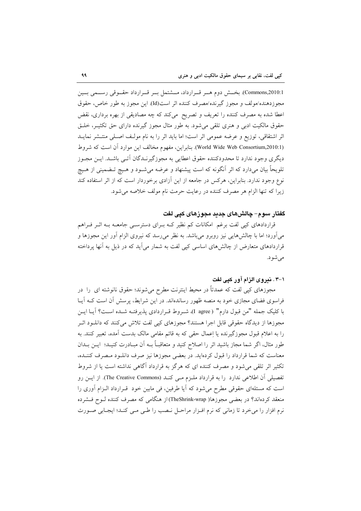Commons,2010:1). بخش دوم هـر قـرارداد، مـشتمل بـر قـرارداد حقـوقي رسـمي بـين مجوزدهنده/مولف و مجوز گیرنده/مصرف کننده اثر است(Id). این مجوز به طور خاص، حقوق اعطا شده به مصرف کننده را تعریف و تصریح میکند که چه مصادیقی از بهره برداری، نقض حقوق مالکیت ادبی و هنری تلقی می شود. به طور مثال مجوز گیرنده دارای حق تکثیـر، خلـق اثر اشتقاقی، توزیع و عرضه عمومی اثر است؛ اما باید اثر را به نام مولف اصلی منتـشر نمایـد (World Wide Web Consortium,2010:1). بنابراین، مفهوم مخالف این موارد آن است که شروط دیگری وجود ندارد تا محدودکننده حقوق اعطایی به مجوزگیرنـدگان آتـی باشـد. ایــن مجــوز تلویحاً بیان می،دارد که اثر آنگونه که است پیشنهاد و عرضه میشـود و هـیچ تــضمینی از هـیچ نوع وجود ندارد. بنابراین، هرکس در جامعه از این آزادی برخوردار است که از اثر استفاده کند زيرا كه تنها الزام هر مصرف كننده در رعايت حرمت نام مولف خلاصه مى شود.

## گفتار سوم– چالشهای جدید مجوزهای کیی لغت

قراردادهای کیی لفت برغم امکانات کم نظیر کـه بـرای دسترسـی جامعــه بــه اثــر فــراهم می آورد؛ اما با چالش هایی نیز روبرو می باشد. به نظر می رسد که نیروی الزام آور این مجوزها و قراردادهای متعارض از چالشهای اساسی کپی لفت به شمار می اَید که در ذیل به اَنها پرداخته مىشود.

### ۰۱–۰ . نیروی الزام آور کیی لفت

مجوزهای کپی لفت که عمدتاً در محیط اینترنت مطرح میشوند؛ حقوق نانوشته ای را در فراسوی فضای مجازی خود به منصه ظهور رساندهاند. در این شرایط، پرسش آن است کـه آیـا با كليك جمله "من قبول دارم" (I agree)، شـروط قـراردادي پذيرفتـه شـده اسـت؟ آيـا ايـن مجوزها از دیدگاه حقوقی قابل اجرا هستند؟ مجوزهای کپی لفت تلاش میکنند که دانلـود اثـر را به اعلام قبول مجوزگیرنده یا اِعمال حقی که به قائم مقامی مالک بدست آمده، تعبیر کنند. به طور مثال، اگر شما مجاز باشید اثر را اصلاح کنید و متعاقبـاً بـه آن مبـادرت کنیـد؛ ایــن بــدان معناست که شما قرارداد را قبول کردهاید. در بعضی مجوزها نیز صرف دانلـود مـصرف کننـده، تکثیر اثر تلقی می شود و مصرف کننده ای که هرگز به قرارداد آگاهی نداشته است یا از شروط تفصیلی آن اطلاعی ندارد را به قرارداد ملـزم مـی کنـد (The Creative Commons). از ایـن رو است که مسئلهای حقوقی مطرح میشود که آیا طرفین، فی مابین خود ًقـرارداد الـزام آوری را منعقد کردهاند؟ در بعضی مجوزها( TheShrink-wrap)از هنگامی که مصرف کننده لــوح فــشرده نرم افزار را می خرد تا زمانی که نرم افـزار مراحـل نـصب را طـی مـی کنـد؛ ایجـابی صـورت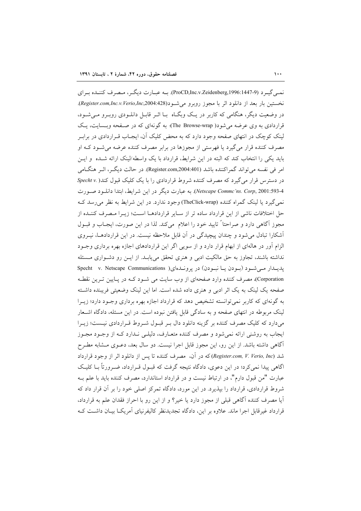نمبي گيـر د (ProCD,Inc.v.Zeidenberg,1996:1447-9). بــه عبـارت ديگـر ، مـصرف كننــده بـراي نخستين بار بعد از دانلود اثر با مجوز روبرو مي شـود(Register.com,Inc.v.Verio,Inc,2004:428). در وضعیت دیگر، هنگامی که کاربر در یک وبگـاه بـا اثــر قابــل دانلــودی روبــرو مــی شــود، قراردادی به وی عرضه می شود( The Browse-wrap)؛ به گونهای که در صفحه وبـسایت، یـک لینک کوچک در انتهای صفحه وجود دارد که به محض کلیک آن، ایجـاب قـراردادی در برابـر مصرف کننده قرار می گیرد یا فهرستی از مجوزها در برابر مصرف کننده عرضه می شــود کــه او باید یکی را انتخاب کند که البته در این شرایط، قرارداد با یک واسطه/لینک ارائه شـده و ایــن امر في نفسه مي تواند گمراكننده باشد (Register.com,2004:401). در حالت ديگر، اثير هنگـامي در دسترس قرار می گیرد که مصرف کننده شروط قراردادی را با یک کلیک قبول کند( .Specht v Netscape Commc'ns. Corp, 2001:593-4.). به عبارت دیگر در این شرایط، ابتدا دانلود صورت نمي گيرد يا لينک گمراه کننده (TheClick-wrap) وجود ندارد. در اين شرايط به نظر مي رسد ک حل اختلافات ناشی از این قرارداد ساده تر از سـایر قراردادهـا اسـت؛ زیـرا مـصرف كننـده از مجوز آگاهی دارد و صراحتاً تایید خود را اعلام میکند. لذا در این صورت، ایجـاب و قبـول آشکارا تبادل میشود و چندان پیچیدگی در آن قابل ملاحظه نیست. در این قراردادهـا، نیـروی الزام آور در هالهای از ابهام قرار دارد و از سویی اگر این قراردادهای اجازه بهره برداری وجـود نداشته باشند، تجاوز به حق مالکیت ادبی و هنری تحقق می یابـد. از ایـن رو دشـواری مـسئله پدیدار می شود (بودن یا نبودن) در پروندهای( Specht v. Netscape Communications Corporation)، مصرف کننده وارد صفحهای از وب سایت می شـود کـه در پـایین تـرین نقطـه صفحه یک لینک به یک اثر ادبی و هنری داده شده است. اما این لینک وضعیتی فریبنده داشته به گونهای که کاربر نمی توانسته تشخیص دهد که قرارداد اجازه بهره برداری وجـود دارد؛ زیـرا لینک مربوطه در انتهای صفحه و به سادگی قابل یافتن نبوده است. در این مسئله، دادگاه اشـحار میدارد که کلیک مصرف کننده بر گزینه دانلود دال بـر قبـول شـروط قـراردادی نیـست؛ زیـرا ایجاب به روشنی ارائه نمیشود و مصرف کننده متعـارف، دلیلـی نـدارد کـه از وجـود مجـوز آگاهی داشته باشد. از این رو، این مجوز قابل اجرا نیست. دو سال بعد، دعـوی مـشابه مطـرح شد (Register.com, V. Verio, Inc) كه در آن، مصرف كننده تا يس از دانلود اثر از وجود قرارداد اگاهی پیدا نمی کرد؛ در این دعوی، دادگاه نتیجه گرفت که قبـول قـرارداد، ضـرورتاً بــا کلیـک عبارت "من قبول دارم"، در ارتباط نیست و در قرارداد استاندارد، مصرف کننده باید با علم بـه شروط قراردادی، قرارداد را بیذیرد. در این مورد، دادگاه تمرکز اصلی خود را بر آن قرار داد که آيا مصرف كننده آگاهي قبلي از مجوز دارد يا خير؟ و از اين رو با احراز فقدان علم به قرارداد، قرارداد غیرقابل اجرا ماند. علاوه بر این، دادگاه تجدیدنظر کالیفرنیای آمریکــا بیــان داشــت کــه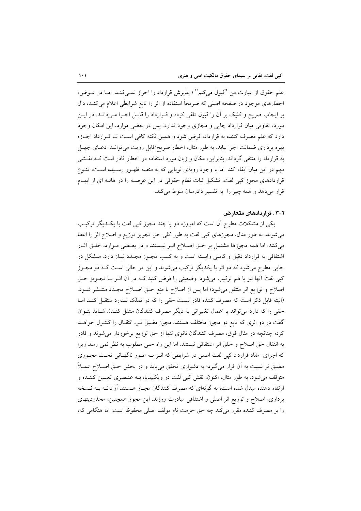علم حقوق از عبارت من "قبول ميكنم" ؛ پذيرش قرارداد را احراز نمـيكنـد. امـا در عــوض، اخطارهای موجود در صفحه اصلی که صریحاً استفاده از اثر را تابع شرایطی اعلام می کنـد، دال بر ایجاب صریح و کلیک بر آن را قبول تلقی کرده و قـرارداد را قابـل اجـرا مـیدانـد. در ایـن مورد، تفاوتی میان قرارداد چاپی و مجازی وجود ندارد. پس در بعضی موارد، این امکان وجود دارد که علم مصرف کننده به قرارداد، فرض شود و همین نکته کافی است تـا قـرارداد اجـازه بهره برداری ضمانت اجرا بیابد. به طور مثال، اخطار صریح/قابل رویت میتوانـد ادعـای جهـل به قرارداد را منتفی گرداند. بنابراین، مکان و زبان مورد استفاده در اخطار قادر است کـه نقـشی مهم در این میان ایفاء کند. اما با وجود رویهی نوپایی که به منصه ظهـور رسـیده اسـت، تنـوع قراردادهای مجوز کپی لفت، تشکیل ثبات نظام حقوقی در این عرصـه را در هالـه ای از ابهـام قرار می دهد و همه چیز را به تفسیر دادرسان منوط می کند.

# ۲-۳ . قرار دادهای متعارض

یکی از مشکلات مطرح آن است که امروزه دو یا چند مجوز کیی لفت با یک دیگر ترکیب میشوند. به طور مثال، مجوزهای کپی لفت به طور کلی حق تجویز توزیع و اصلاح اثر را اعطا میکنند. اما همه مجوزها مشتمل بر حـق اصـلاح اثـر نیـستند و در بعـضی مـوارد، خلـق آثـار اشتقاقی به قرارداد دقیق و کاملی وابسته است و به کسب مجـوز مجـدد نیـاز دارد. مــشکل در جایی مطرح می شود که دو اثر با یکدیگر ترکیب می شوند و این در حالی است کـه دو مجـوز کپی لفت اّنها نیز با هم ترکیب میشود. وضعیتی را فرض کنید کـه در اّن اثــر بــا تجــویز حــق اصلاح و توزیع اثر منتقل می شود؛ اما پس از اصلاح با منع حـق اصـلاح مجـدد منتـشر شـود. (البته قابل ذکر است که مصرف کننده قادر نیست حقی را که در تملک نـدارد منتقـل کنـد امـا حقی را که دارد می تواند با اعمال تغییراتی به دیگر مصرف کنندگان منتقل کنـد). شـاید بتـوان گفت در دو اثری که تابع دو مجوز مختلف هستند، مجوز مضیق تـر، انتقـال را کنتـرل خواهــد کرد؛ چنانچه در مثال فوق، مصرف کنندگان ثانوی تنها از حق توزیع برخوردار میشوند و قادر به انتقال حق اصلاح و خلق اثر اشتقاقی نیستند. اما این راه حلی مطلوب به نظر نمی رسد زیرا که اجرای مفاد قرارداد کیی لفت اصلی در شرایطی که اثـر بـه طـور ناگهـانی تحـت مجـوزی مضیق تر نسبت به آن قرار میگیرد؛ به دشواری تحقق می،یابد و در بخش حـق اصـلاح عمـلاً متوقف می شود. به طور مثال، اکنون، نقش کپی لفت در ویکیپدیا، بــه عنـصری تعیــین کننــده و ارتقاء دهنده مبدل شده است؛ به گونهای که مصرف کنندگان مجـاز هـستند آزادانــه بــه نــسخه برداری، اصلاح و توزیع اثر اصلی و اشتقاقی مبادرت ورزند. این مجوز همچنین، محدودیتهای را بر مصرف كننده مقرر مى كند چه حق حرمت نام مولف اصلى محفوظ است. اما هنگامى كه،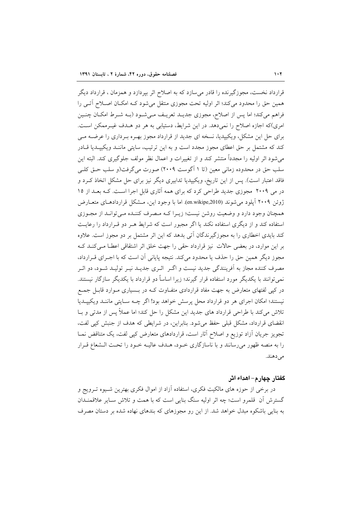قرارداد نخست، مجوزگیرنده را قادر میٍسازد که به اصلاح اثر بیردازد و همزمان ، قرارداد دیگر همین حق را محدود میکند؛ اثر اولیه تحت مجوزی منتقل میشود کـه امکـان اصـلاح آتـی را فراهم میکند؛ اما پس از اصلاح، مجوزی جدیـد تعریـف مـی شـود (بـه شـرط امکـان چنـین امری)که اجازه اصلاح را نمیدهد. در این شرایط، دستیابی به هر دو هـدف غیـرممکن اسـت. برای حل این مشکل، ویکیپدیا، نسخه ای جدید از قرارداد مجوز بهـره بـرداری را عرضــه مـی کند که مشتمل بر حق اعطای مجوز مجدد است و به این ترتیب، سایتی ماننـد ویکیپـدیا قـادر می شود اثر اولیه را مجدداً منتشر کند و از تغییرات و اعمال نظر مولف جلوگیری کند. البته این سلب حق در محدوده زمانی معین (تا ۱ آگوست ۲۰۰۹) صورت می گرفت(و سلب حـق کلـی فاقد اعتبار است). پس از این تاریخ، ویکیپدیا تدابیری دیگر نیز برای حل مشکل اتخاذ کـرد و در می ۲۰۰۹ مجوزی جدید طراحی کرد که برای همه آثاری قابل اجرا است. کـه بعـد از ۱۵ ژوئن ۲۰۰۹ آیلود می شوند (en.wikipe,2010). اما با وجود این، مــشکل قراردادهــای متعــارض همچنان وجود دارد و وضعیت روشن نیست؛ زیـرا کـه مـصرف کننـده مـیتوانـد از مجـوزی استفاده کند و از دیگری استفاده نکند یا اگر مجبور است که شرایط هـر دو قـرارداد را رعایـت کند بایدی اخطاری را به مجوزگیرندگان آتی بدهد که این اثر مشتمل بر دو مجوز است. علاوه بر این موارد، در بعضی حالات نیز قرارداد حقی را جهت خلق اثر اشتقاقی اعطا می کنـد کـه مجوز دیگر همین حق را حذف یا محدود میکند. نتیجه پایانی آن است که با اجـرای قـرارداد، مصرف کننده مجاز به آفرینندگی جدید نیست و اگــر ۖ اثــری جدیــد نیــر تولیــد شــود، دو اثــر نمی توانند با یکدیگر مورد استفاده قرار گیرند؛ زیرا اساساً دو قرارداد با یکدیگر سازگار نیستند. در کیی لفتهای متعارض به جهت مفاد قراردادی متفـاوت کـه در بــسیاری مــوارد قابـل جمــع نیستند؛ امکان اجرای هر دو قرارداد محل پرسش خواهد بود! اگر چـه سـایتی ماننـد ویکیپـدیا تلاش میکند با طراحی قرارداد های جدید این مشکل را حل کند؛ اما عملاً پس از مدتی و بـا انقضای قرارداد، مشکل قبلی حفظ می شود. بنابراین، در شرایطی که هدف از جنبش کیی لفت، تجویز جریان آزاد توزیع و اصلاح آثار است، قراردادهای متعارض کیی لفت، یک متناقض نمـا را به منصه ظهور میرسانند و با ناسازگاری خـود، هـدف عالیـه خـود را تحـت الـشعاع قـرار مے دھند.

### گفتار چهار م- اهداء اثر

در برخی از حوزه های مالکیت فکری، استفاده آزاد از اموال فکری بهترین شـیوه تـرویج و گسترش آن قلمرو است؛ چه اثر اولیه سنگ بنایی است که با همت و تلاش سـایر علاقمنـدان به بنایی باشکوه مبدل خواهد شد. از این رو مجوزهای که بندهای نهاده شده بر دستان مصرف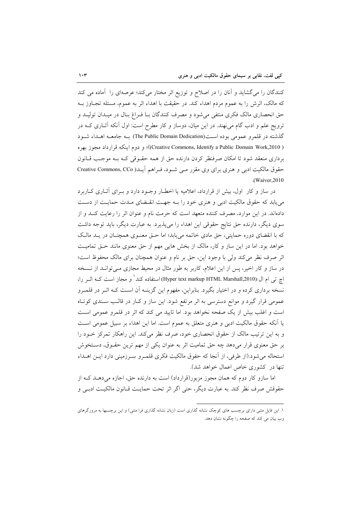کنندگان را میگشاید و آنان را در اصلاح و توزیع اثر مختار میکند؛ عرصهای را آماده می کند که مالک، اثرش را به عموم مردم اهداء کند. در حقیقت با اهداء اثر به عموم، مسئله تجـاوز بــه حق انحصاری مالک فکری منتفی میشود و مصرف کنندگان بـا فـراغ بـال در میـدان تولیـد و ترویج علم و ادب گام می نهند. در این میان، دوساز و کار مطرح است: اول آنکه آثـاری کــه در گذشته در قلمرو عمومی بوده است(The Public Domain Dedication) بـه جامعـه اهــداء شــود ( Creative Commons, Identify a Public Domain Work,2010)؛ و دوم اينكه قرارداد مجوز بهره برداری منعقد شود تا امکان صرفنظر کردن دارنده حق از همه حقـوقی کـه بـه موجـب قـانون حقوق مالکیت ادبی و هنری برای وی مقرر مے شـود، فـراهـم آیــد( Creative Commons, CCo .(Waiver, 2010)

در ساز و کار اول، بیش از قرارداد، اعلامیه یا اخطـار وجـود دارد و بـرای آثـاری کـاربرد می یابد که حقوق مالکیت ادبی و هنری خود را بـه جهـت انقـضای مـدت حمایـت از دسـت دادهاند. در این موارد، مصرف کننده متعهد است که حرمت نام و عنوان اثر را رعایت کنـد و از سوی دیگر، دارنده حق نتایج حقوقی این اهداء را میپذیرد. به عبارت دیگر، باید توجه داشت که با انقضای دوره حمایتی، حق مادی خاتمه می یابد؛ اما حتی معنوی همچنان در یـد مالـک خواهد بود. اما در این ساز و کار، مالک از بخش هایی مهم از حق معنوی مانند حتی تمامیت اثر صرف نظر می کند ولی با وجود این، حق بر نام و عنوان همچنان برای مالک محفوظ است؛ در ساز و کار اخیر، پس از این اعلام، کاربر به طور مثال در محیط مجازی مـیتوانـد از نـسخه اچ تبی ام ال/(Hyper text markup HTML Marshall,2010) استفاده کند` و مجاز است کــه اثــر را، نسخه برداری کرده و در اختیار بگیرد. بنابراین، مفهوم این گزینـه آن اسـت کـه اثـر در قلمـرو عمومی قرار گیرد و موانع دسترسی به اثر مرتفع شود. این ساز و کـار در قالـب سـندی کوتـاه است و اغلب بیش از یک صفحه نخواهد بود. اما تایید می کند که اثر در قلمرو عمومی است يا آنكه حقوق مالكيت ادبي و هنري متعلق به عموم است. اما اين اهداء بر سبيل عمومي است و به این ترتیب مالک از حقوق انحصاری خود، صرف نظر میکند. این راهکار تمرکز خـود را بر حق معنوی قرار میدهد چه حق تمامیت اثر به عنوان یکی از مهم ترین حقــوق، دسـتخوش استحاله می شود.(از طرفی، از آنجا که حقوق مالکیت فکری قلمـرو سـرزمینی دارد ایـن اهــداء تنها در کشوری خاص اعمال خواهد شد).

اما سازو کار دوم که همان مجوز مزبور(قرارداد) است به دارنده حق، اجازه می دهـد کـه از حقوقش صرف نظر كند. به عبارت ديگر، حتى اگر اثر تحت حمايت قـانون مالكيـت ادبـي و

۱. این فایل متنی دارای برچسب های کوچک نشانه گذاری است (زبان نشانه گذاری فرا متنی) و این برچسبها به مرورگرهای وب بیان می کند که صفحه را چگونه نشان دهد.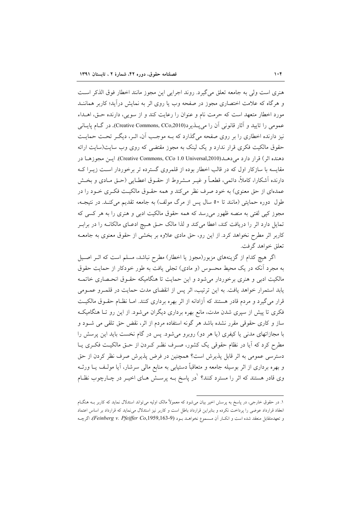هنري است ولي به جامعه تعلق مي گيرد. روند اجرايي اين مجوز مانند اخطار فوق الذكر است و هرگاه که علامت اختصاری مجوز در صفحه وب یا روی اثر به نمایش درآید؛ کاربر هماننــد مورد اخطار متعهد است كه حرمت نام و عنوان را رعايت كند و از سويي، دارنده حـق، اهــداء عمومي را تاييد و آثار قانوني آن را مي يــذير د(Creative Commons, CCo,2010). در گــام يايــاني نیز دارنده اخطاری را بر روی صفحه میگذارد که بـه موجـب آن، اثـر، دیگـر تحـت حمایـت حقوق مالکیت فکری قرار ندارد و یک لینک به مجوز مقتضی که روی وب سایت(سایت ارائه دهنده اثر) قرار دارد میدهــد(Creative Commons, CCo 1.0 Universal,2010). ایــن مجوزهــا در مقایسه با سازکار اول که در قالب اخطار بوده از قلمروی گسترده تر برخوردار است زیـرا کـه دارنده آشکارا، کاملاً، دائمی، قطعـاً و غیــر مــشروط از حقــوق اعطــایی (حــق مــادی و بخــش عمدهای از حق معنوی) به خود صرف نظر میکند و همه حقـوق مالکیـت فکـری خـود را در طول دوره حمایتی (مانند تا ٥٠ سال پس از مرگ مولف) به جامعه تقدیم می کنـد. در نتیجـه، مجوز کپی لفتی به منصه ظهور میرسد که همه حقوق مالکیت ادبی و هنری را به هر کسی که تمایل دارد اثر را دریافت کند، اعطا میکند و لذا مالک حـق هـیچ ادعـای مالکانـه را در برابـر کاربر اثر مطرح نخواهد کرد. از این رو، حق مادی علاوه بر بخشی از حقوق معنوی به جامعـه تعلق خواهد گرفت.

اگر هیچ کدام از گزینههای مزبور(مجوز یا اخطار) مطرح نباشد، مسلم است که اثـر اصـیل به مجرد أنكه در يك محيط محسوس (و مادي) تجلي يافت به طور خودكار از حمايت حقوق مالکیت ادبی و هنری برخوردار می شود و این حمایت تا هنگامیکه حقـوق انحـصاری خاتمـه يابد استمرار خواهد يافت. به اين ترتيب، اثر پس از انقضاي مدت حمايت در قلمـرو عمـومي قرار میگیرد و مردم قادر هستند که آزادانه از اثر بهره برداری کنند. امـا نظـام حقـوق مالکیـت فکری تا پیش از سپری شدن مدت، مانع بهره برداری دیگران می شود. از این رو تـا هنگامیکـه ساز و کاری حقوقی مقرر نشده باشد هر گونه استفاده مردم از اثر، نقض حق تلقی می شـود و با مجازاتهای مدنی یا کیفری (یا هر دو) روبرو میشود. پس در گام نخست باید این پرسش را مطرح کرد که آیا در نظام حقوقی یک کشور، صـرف نظـر کـردن از حــق مالکیــت فکــری پــا دسترسی عمومی به اثر قابل پذیرش است؟ همچنین در فرض پذیرش صرف نظر کردن از حق و بهره برداری از اثر بوسیله جامعه و متعاقباً دستیابی به منابع مالی سرشار، آیا مولـف یــا ورثــه وی قادر هستند که اثر را مسترد کنند؟ <sup>'</sup>در پاسخ بــه پرســش هــای اخیــر در چــارچوب نظــام

۱. در حقوق خارجی، در پاسخ به پرسش اخیر بیان می شود که معمولاً مالک اولیه می تواند استدلال نماید که کاربر بــه هنگــام انعقاد قرارداد عوضى را پرداخت نكرده و بنابراين قرارداد باطل است و كاربر نيز استدلال مى نمايد كه قرارداد بر اساس اعتماد و تعهدمتقابل منعقد شده است و انك ار آن مسموع نخواهــد بـود (Feinberg v. Pfeiffer Co,1959,163-9)، اگرچــه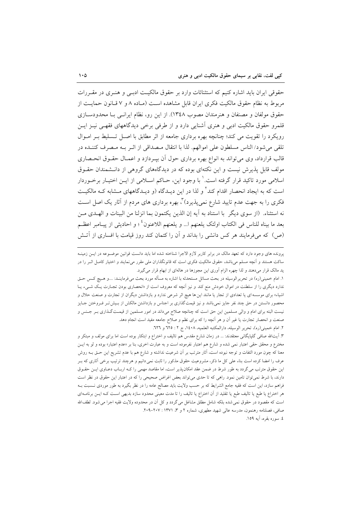حقوقی ایران باید اشاره کنیم که استثنائات وارد بر حقوق مالکیت ادبسی و هنـری در مقـررات مربوط به نظام حقوق مالكيت فكرى ايران قابل مشاهده است (مـاده ٨ و ٧ قـانون حمايـت از حقوق مولفان و مصنفان و هنرمندان مصوب ١٣٤٨). از اين رو، نظام ايرانسي بـا محدودسـازي قلمرو حقوق مالکیت ادبی و هنری آشنایی دارد و از طرفی برخی دیدگاههای فقهـی نیــز ایــن رویکرد را تقویت می کند؛ چنانچه بهره برداری جامعه از اثر مطابق با اصـل تـسلیط بـر امـوال تلقى مى شود/ الناس مسلطون على اموالهم. لذا با انتقال مـصداقى از اثـر بـه مـصرف كننـده در قالب قرارداد، وی می تواند به انواع بهره برداری حول آن بیـردازد و اعمـال حقـوق انحـصاری مولف قابل پذیرش نیست و این نکتهای بوده که در دیدگاههای گروهی از دانـشمندان حقـوق اسلامی مورد تاکید قرار گرفته است. ٰ با وجود این، حـاکم اسـلامی از ایــن اختیــار برخــوردار است که به ایجاد انحصار اقدام کند<sup>۲</sup> و لذا در این دیـدگاه (و دیـدگاههای مـشابه کـه مالکیـت فکری را به جهت عدم تایید شارع نمی پذیرد) ، بهره برداری های مردم از آثار یک اصل است نه استثناء. (از سوى ديگر با استناد به آيه إن الذين يكتمون بما انزلنا من البينات و الهـلدى مـن بعد ما بيناه للناس في الكتاب اولئك يلعنهم ا… و يلعنهم اللاعنون<sup>؛</sup> ؛ و احاديثي از پيــامبر اعظــم (ص) که میفرمایند هر کس دانشی را بداند و آن را کتمان کند روز قیامت با افساری از آتـش

پرونده های وجود دارد که تعهد مالک در برابر کاربر لازم الاجرا شناخته شده اما باید دانست قوانین موضــوعه در ایــن زمینــه ساکت هستند و اّنچه مسلم میباشد، حقوق مالکیت فکری است که قانونگذاران ملی مقرر میٖنمایند و اختیار کامـل اثــر را در ید مالک قرار میدهند و لذا چهره الزام آوری این مجوزها در هالهای از ابهام قرار می گیرد.

١. امام خميني(ره) در تحريرالوسيله در بحث مسائل مستحدثه با اشاره به مسأله مورد بحث مي فرماينـد: ....و هـيچ كـس حـق ندارد دیگری را از سلطنت در اموال خودش منع کند و نیز آنچه که معروف است از «انحصاری بودن تجـارت یـک شــیء یــا اشیاء» برای موسسه ای یا تعدادی از تجار یا مانند این ها هیچ اثر شرعی ندارد و بازداشتن دیگران از تجارت و صنعت حلال و محصور دانستن در حق چند نفر جایز نمیباشد و نیز قیمت گذاری بر اجناس و بازداشتن مالکش از بـیش تـر فـروختن جـایز نیست البته برای امام و والی مسلمین این حق است که چنانچه صلاح میداند در امور مسلمین از قیمـت گـذاری بـر جـنس و صنعت و انحصار تجارت یا غیر أن و هر أنچه را که برای نظم و صلاح جامعه مفید است انجام دهد.

٢. امام خميني(ره)، تحرير الوسيله، دارالمكتبه العلميه، ١٤٠٨، ج ٢ : ٦٢٥ و ٦٢٦.

۳. آیتالله صافی گلپایگانی معتقدند: … در زمان شارع مقدس هم تالیف و اختراع و ابتکار بوده است اما برای مولف و مبتکر و مخترع و محقق حقی اعتبار نمی شده و شارع هم اعتبار نفرموده است و به عبارت اخری، بنا بر «عدم اعتبار» بوده و لو به ایـن معنا که چون مورد التفات و توجه نبوده است، آثار مترتب بر اَن شرعیت نداشته و شارع هم با عدم تشریع این حـق بــه روش عرف را امضا کرده است بناء علی کل ما ذکر، مشروعیت حقوق مذکور را ثابت نمی دانیم و هرچند ترتیب برخی آثاری که بــر این حقوق مترتب می گردد به طور شرط در ضمن عقد امکان پذیر است، اما مقاصد مهمی را کـه اربـاب دعــاوی ایــن حقــوق دارند، با شرط نمیٍتوان تامین نمود. راهی که تا حدی میٍتواند بعض اغراض صحیحی را که در اعتبار این حقوق در نظر است فراهم سازد، این است که فقیه جامع الشرایط که بر حسب ولایت باید مصالح عامه را در نظر بگیرد به طور موردی نـسبت بـه هر اختراع یا طبع یا تالیف طبع یا تقلید از آن اختراع یا تالیف را تا مدت معینی محدود سازد بدیهی اسـت کـه ایــن برنامــهای است که مقصود در حقوق نمی شده بلکه شامل مطلق مشاغل می گردد و کل آن در محدوده ولایت فقیه اجرا می شود. لطفالله صافی، فصلنامه رهنمون، مدرسه عالی شهید مطهری، شماره ۲ و ۳، ۱۳۷۱ : ۲۰۷–۲۰۹. ٤. سوره بقره، آيه ١٥٩.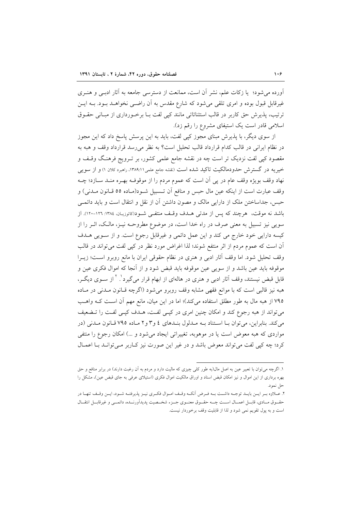آورده می شود؛ یا زکات علم، نشر آن است، ممانعت از دسترسی جامعه به آثار ادبسی و هنبری غیرقابل قبول بوده و امری تلقی می شود که شارع مقدس به آن راضـی نخواهــد بــود. بــه ایــن ترتیب، پذیرش حق کاربر در قالب استثنائاتی مانند کیی لفت بـا برخـورداری از مبـانی حقـوق اسلامی قادر است یک استیفای مشروع را رقم زد).

از سوی دیگر، با پذیرش مبنای مجوز کپی لفت، باید به این پرسش پاسخ داد که این مجوز در نظام ایرانی در قالب کدام قرارداد قالب تحلیل است؟ به نظر می رسد قرارداد وقف و هبه به مقصود کیی لفت نزدیک تر است چه در نقشه جامع علمی کشور، بر تـرویج فرهنـگ وقـف و خیریه در گسترش حدودمالکیت تاکید شده است (نقشه جامع علمی۱۳۸۹:۱۱ راهبرد کلان ۱) و از سویی نهاد وقف بويژه وقف عام در پي آن است كه عموم مردم را از موقوفـه بهـره منــد ســازد؛ چــه وقف عبارت است از اینکه عین مال حبس و منافع آن تـسبیل شـود(مـاده ٥٥ قـانون مــدنی) و حبس، جداساختن ملک از دارایی مالک و مصون داشتن آن از نقل و انتقال است و باید دائمبی باشد نه موقت، هرچند که پس از مدتی هـدف وقـف منتفـی شـود(کاتوزیـان، ۱۳۸٤: ۱۲۶-۱۲۰). از سویی نیز تسبیل به معنی صرف در راه خدا است، در موضوع مطروحـه نیــز، مالـک، اثــر را از کیسه دارایی خود خارج می کند و این عمل دائمی و غیرقابل رجوع است. و از سویی هـدف آن است که عموم مردم از اثر منتفع شوند؛ لذا اغراض مورد نظر در کپی لفت می تواند در قالب وقف تحليل شود. اما وقف آثار ادبي و هنري در نظام حقوقي ايران با مانع روبرو است؛ زيــرا موقوفه بايد عين باشد و از سويي عين موقوفه بايد قبض شود و از آنجا كه اموال فكرى عين و قابل قبض نیستند، وقف آثار ادبی و هنری در هالهای از ابهام قرار میگیرد بستار سـوی دیگـر، هبه نیز قالبی است که با موانع فقهی مشابه وقف روبرو می شود (اگرچه قـانون مـدنی در مـاده ۷۹۵ از هبه مال به طور مطلق استفاده میکند)؛ اما در این میان، مانع مهم آن اسـت کـه واهـب می تواند از هبه رجوع کند و امکان چنین امری در کیبی لفت، هـدف کیبی لفـت را تـضعیف می کند. بنابراین، می توان بـا اسـتناد بـه مـدلول بنـدهای ٤ و ٣ و ٢ مـاده ٧٩٥ قـانون مـدنی (در مواردی که هبه معوض است یا در موهوبه، تغییراتی ایجاد میشود و ...) امکان رجوع را منتفی کرد؛ چه کیی لفت می تواند معوض باشد و در غیر این صورت نیز کباربر مے توانید بیا اعمیال

۱. اگرچه می توان با تعبیر عین به اصل مال(به طور کلی چیزی که مالیت دارد و مردم به آن رغبت دارند) در برابر منافع و حق بهره برداری از این اموال و نیز امکان قبض اسناد و اوراق مالکیت اموال فکری (استیلای عرفی به جای قبض عین)، مشکل را حل نمود.

٢. عــلاوه بــر ايــن بايــد توجــه داشــت بــه فــرض أنكــه وقــف امــوال فكــرى نيــز پذيرفتــه شــود، ايــن وقــف تنهــا در حقــوق مــادي، قابــل اعمــال اســت چــه حقــوق معنــوي جــزء شخــصيت پديداَورنــده، دائمــي و غيرقابــل انتقــال است و به پول تقویم نمی شود و لذا از قابلیت وقف برخوردار نیست.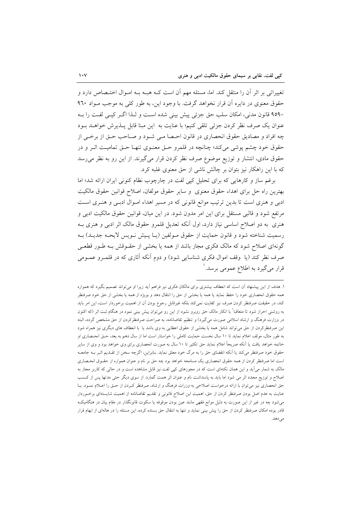تغییراتی بر اثر آن را منتقل کند. اما، مسئله مهم آن است کــه هبــه بــه امــوال اختــصاص دارد و حقوق معنوي در دايره آن قرار نخواهد گرفت. با وجود اين، به طور كلي به موجب مـواد ٩٦٠ -۹۵۹ قانون مدنی، امکان سلب حق جزئی پیش بینی شده است و لـذا اگـر کیـی لفـت را بـه عنوان یک صرف نظر کردن جزئی تلقی کنیم؛ با عنایت به این مبنا قابل پـذیرش خواهـد بـود چه افراد و مصاديق حقوق انحصاري در قانون احـصا مـي شـود و صـاحب حـق از برخـي از حقوق خود چشم پوشی میکند؛ چنانچه در قلمرو حتی معنـوی تنهـا حـق تمامیـت اثـر و در حقوق مادی، انتشار و توزیع موضوع صرف نظر کردن قرار میگیرند. از این رو به نظر می رسد که با این راهکار نیز بتوان بر چالش ناشی از حق معنوی غلبه کرد.

برغم ساز و کارهایی که برای تحلیل کپی لفت در چارچوب نظام کنونی ایران ارائه شد؛ اما بهترين راه حل براي اهداء حقوق معنوي ًو ساير حقوق مولفان، اصلاح قوانين حقوق مالكيت ادبی و هنری است تا بدین ترتیب موانع قانونی که در مسیر اهداء امـوال ادبـی و هنـری اسـت مرتفع شود و قالبی مستقل برای این امر مدون شود. در این میان، قوانین حقوق مالکیت ادبی و هنری به دو اصلاح اساسی نیاز دارد، اول آنکه تعدیل قلمرو حقوق مالک اثر ادبی و هنری بـه رسمیت شناخته شود و قانون حمایت از حقوق مـولفین (یـا پـیش نـویس لایحـه جدیـد) بـه گونهای اصلاح شود که مالک فکری مجاز باشد از همه یا بخشی از حقـوقش بـه طـور قطعـی صرف نظر کند (یا وقف اموال فکری شناسایی شود) و دوم آنکه آثاری که در قلمـرو عمـومی قرار مي گيرد به اطلاع عمومي برسد. '

۱. هدف از این پیشنهاد آن است که انعطاف بیشتری برای مالکان فکری نیز فراهم آید زیرا او میتواند تصمیم بگیرد که همواره همه حقوق انحصارى خود را حفظ نمايد يا همه يا بخشى از حق را انتقال دهد و بويژه از همه يا بخشى از حق خود صرفنظر کند، در حقیقت صرفنظر کردن صرف نیز کفایت نمیکند بلکه غیرقابل رجوع بودن آن از اهمیت برخوردار است، این امر باید به روشنی احراز شود تا متعاقبا ً با انکار مالک حق روبرو نشود از این رو میتوان پیش بینی نمود در هنگام ثبت اثر (که اکنون در وزارت فرهنگ و ارشاد اسلامی صورت میگیرد) و تنظیم تقاضانامه، به صراحت صرفنظرکردن از حق مشخص گردد، البته این صرفنظرکردن از حق می تواند شامل همه یا بخشی از حقوق اعطایی به وی باشد یا با انعطاف های دیگری نیز همراه شود به طور مثال، مولف اعلام نماید تا ۱۰ سال نخست حمایت کاملی را خواستار است اما از سال دهم به بعد، حـق انحـصاری او خاتمه خواهد یافت یا اَنکه صریحاً اعلام نماید حق تکثیر تا ۱۰ سال به صورت انحصاری برای وی خواهد بود و وی از سایر حقوق خود صرفنظر میکند یا انکه انقضای حق را به مرگ خود معلق نماید. بنابراین، اگرچه سخن از تقـدیم اثـر بــه جامعــه است اما صرفنظر کردن از همه حقوق انحصاری یک مسامحه خواهد بود چه حق بر نام و عنوان همواره از حقـوق انحـصاری مالک به شمار می آید و این همان نکتهای است که در مجوزهای کیی لفت نیز قابل مشاهده است و در حالی که کاربر مجاز به اصلاح و توزیع مجدد اثر می شود اما باید به پاسداشت نام و عنوان اثر همت گمارد. از سوی دیگر حتی مدتها پس از کـسب حق انحصاری نیز میتوان با ارائه درخواست اصلاحی به وزرات فرهنگ و ارشاد، صرفنظر کـردن از حـق را اعـلام نمـود. بـا عنایت به عدم اصل بودن صرفنظر کردن از حق، اهمیت این اصلاح قانونی و تقدیم تقاضانامه از اهمیت شایستهای برخـوردار میشود چه در غیر از این صورت به دلیل موانع فقهی مانند عین بودن موقوفه یا سکوت قانونگذار در مقام بیان در هنگامیک قادر بوده امکان صرفنظر کردن از حق را پیش بینی نماید و تنها به انتقال حق بسنده کرده، این مسئله را در هالهای از ابهام قرار مى دهد.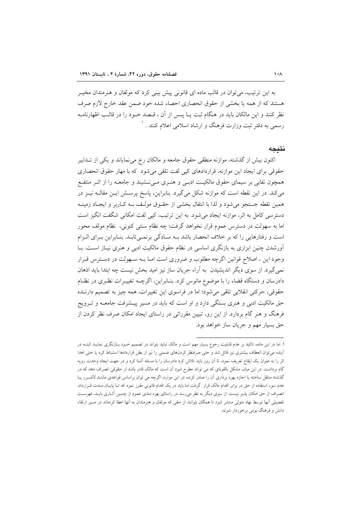به این ترتیب، می توان در قالب ماده ای قانونی پیش بینی کرد که مولفان و هنرمندان مخیـر هستند که از همه یا بخشی از حقوق انحصاری احصاء شده خود ضمن عقد خارج لازم صرف نظر کنند و این مالکان باید در هنگام ثبت یــا پــس از آن ، قــصد خــود را در قالــب اظهارنامــه رسمی به دفتر ثبت وزارت فرهنگ و ارشاد اسلامی اعلام کنند . `

#### نتيجه

اکنون بیش از گذشته، موازنه منطقی حقوق جامعه و مالکان رخ می نمایاند و یکی از تــدابیر حقوقی برای ایجاد این موازنه، قراردادهای کپی لفت تلقی می شود که با مهار حقوق انحصاری همچون نقابی بر سیمای حقوق مالکیت ادبـی و هنـری مـی نـشیند و جامعـه را از اثـر منتفـع می کند. در این نقطه است که موازنه شکل می گیرد. بنابراین، پاسخ پرسـش ایـن مقالــه نیــز در همین نقطه جستجو می شود و لذا با انتقال بخشی از حقـوق مولـف بـه كـاربر و ایجـاد زمینـه دسترسی کامل به اثر، موازنه ایجاد میشود. به این ترتیب، کپی لفت امکانی شگفت انگیز است اما به سهولت در دسترس عموم قرار نخواهد گرفت؛ چه نظام سنتی کنونی، نظام مولف محور است و رفتارهایی را که بر خلاف انحصار باشد بـه سـادگی برنمـیتابـد. بنـابراین بـرای الـزام آورشدن چنین ابزاری به بازنگری اساسی در نظام حقوق مالکیت ادبی و هنری نیـاز اسـت. بـا وجود این ، اصلاح قوانین اگرچه مطلوب و ضروری است امـا بـه سـهولت در دسـترس قـرار نمي گيرد. از سوي ديگر انديشيدن به آراء جريان ساز نيز اميد بخش نيست چه ابتدا بايد اذهان دادرسان و دستگاه قضاء را با موضوع مانوس کرد. بنـابراین، اگرچــه تغییــرات نظـری در نظـام حقوقي، حركتي انقلابي تلقي مي شود؛ اما در فراسوي اين تغييرات، همه چيز به تصميم دارنـده حق مالکیت ادبی و هنری بستگی دارد و او است که باید در مسیر پیـشرفت جامعــه و تــرویج فرهنگ و هنر گام بردارد. از این رو، تبیین مقرراتی در راستای ایجاد امکان صرف نظر کردن از حق بسیار مهم و جریان ساز خواهد بود.

۱. اما در این ماده، تاکید بر عدم قابلیت رجوع بسیار مهم است و مالک نباید بتواند در تصمیم خــود بــازنگری نمایــد البتــه در اًينده مي توان انعطاف بيشترى نيز قائل شد و حتى صرفنظر كردنهاى ضمنى را نيز از بطن قراردادها استنباط كرد يا حتى اهدا اثر را به عنوان یک ایقاع تعریف نمود، تا آن روز باید تلاش کرد دادرسان را با مسئله آشنا کرد و در جهت ایجاد وحدت رویه گام برداشت. در این میان، مشکل بالقوهای که می تواند مطرح شود آن است که مالک قادر باشد از حقوقی انصراف دهد که در گذشته منتقل ساخته یا اجازه بهره برداری آن را صادر کرده، در این موارد، اگرچه می توان براساس قواعدی ماننـد لاضـرر یـا عدم سوء استفاده از حق در برابر اقدام مالک قرار گرفت اما باید در یک اقدام قانونی مقرر نمود که تـا پایـان مـدت قـرارداد، انصراف از حق امکان پذیر نیست. از سوی دیگر به نظر می رسد در راستای بهره مندی عموم از چنـین آثــاری بایـلـه فهرسـت تفصیلی آنها توسط نهاد متولی منتشر شود تا همگان بتوانند از حقی که مولفان و هنرمندان به آنها اعطا کردهاند در مسیر ارتقاء دانش و فرهنگ بومی برخوردار شوند.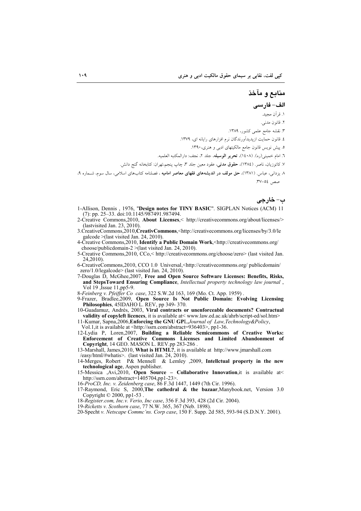منابع و مآخذ الف- فارسي ۱. قراَن مجيد. ٢. قانون مدني. ۳. نقشه جامع علمی کشور، ۱۳۸۹. ٤. قانون حمايت ازپديدآورندگان نرم افزارهاي رايانه اي، ١٣٧٩. ۵. پیش نویس قانون جامع مالکیتهای ادبی و هنری، ۱۳۹۰. ٦. امام خميني(ره). (١٤٠٨)، تحرير الوسيله، جلد ٢، نجف: دارالمكتبه العلميه. ٧. كاتوزيان، ناصر. (١٣٨٤)، حقوق مدنى، عقود معين جلد ٣، چاپ پنجم،تهران: كتابخانه گنج دانش. ۸ یزدان<sub>ی</sub>، عباس. (۱۳۸۱)، <mark>حق مولف در اندیشههای فقهای معاصر امامیه ،</mark> فصلنامه کتابهای اسلامی، سال سوم، شــماره ۹، صص ٥٤-٣٧. ب- خارجي

- 1-Allison, Dennis, 1976, "Design notes for TINY BASIC". SIGPLAN Notices (ACM) 11 (7): pp. 25-33. doi:10.1145/987491.987494.
- 2-Creative Commons, 2010, About Licenses,< http://creativecommons.org/about/licenses/> (last visited Jan. 23, 2010).
- 3. CreativeCommons, 2010, CreativCommons, <http://creativecommons.org/licenses/by/3.0/le galcode > (last visited Jan. 24, 2010).
- 4-Creative Commons, 2010, Identify a Public Domain Work, <http://creativecommons.org/ choose/publicdomain-2 >(last visited Jan. 24, 2010).
- 5-Creative Commons, 2010, CCo,<http://creativecommons.org/choose/zero> (last visited Jan. 24.2010)

6-CreativeCommons, 2010, CCO 1.0 Universal, <http://creativecommons.org/ publicdomain/ zero/1.0/legalcode> (last visited Jan. 24, 2010).

7-Douglas D, McGhee, 2007, Free and Open Source Software Licenses: Benefits, Risks, and StepsToward Ensuring Compliance, Intellectual property technology law journal, Vol 19, Issue 11, pp5-9.

8-Feinberg v. Pfeiffer Co case, 322 S.W.2d 163, 169 (Mo. Ct. App. 1959).<br>9-Frazer, Bradlee, 2009, Open Source Is Not Public Domain: Evolving Licensing Philosophies, 45IDAHO L. REV, pp 349-370.

10-Guadamuz, Andrés, 2003, Viral contracts or unenforceable documents? Contractual validity of copyleft licences, it is available at< www.law.ed.ac.uk/ahrb/script-ed/sol.htm>

11-Kumar, Sapna,2006, Enforcing the GNU GPL,Journal of Law, Technology&Policy,

Vol.1, it is available at <http://ssrn.com/abstract=936403>, pp1-36.<br>12-Lydia P, Loren, 2007, Building a Reliable Semicommons of Creative Works: Enforcement of Creative Commons Licenses and Limited Abandonment of Copyright, 14 GEO. MASON L. REV.pp 283-286

13-Marshall, James, 2010, What is HTML?, it is available at http://www.jmarshall.com /easy/html/#whatis>. (last visited Jan. 24, 2010).

- 14-Merges, Robert P& Mennell & Lemley , 2009, Intellctual property in the new technological age, Aspen publisher.
- 15-Messica ,Avi,2010, Open Source Collaborative Innovation, it is available at http://ssm.com/abstract=1405704.pp1-23>.<br>16-ProCD, Inc. v. Zeidenberg case, 86 F.3d 1447, 1449 (7th Cir. 1996).
- 
- 17-Raymond, Eric S, 2000, The cathedral & the bazaar, Manybook.net, Version 3.0 Copyright  $\odot$  2000, pp1-53
- 18-Register.com, Inc.v. Verio, Inc case, 356 F.3d 393, 428 (2d Cir. 2004).
- 19-Ricketts v. Scothorn case, 77 N.W. 365, 367 (Neb. 1898).
- 20-Specht v. Netscape Commc'ns. Corp case, 150 F. Supp. 2d 585, 593-94 (S.D.N.Y. 2001).